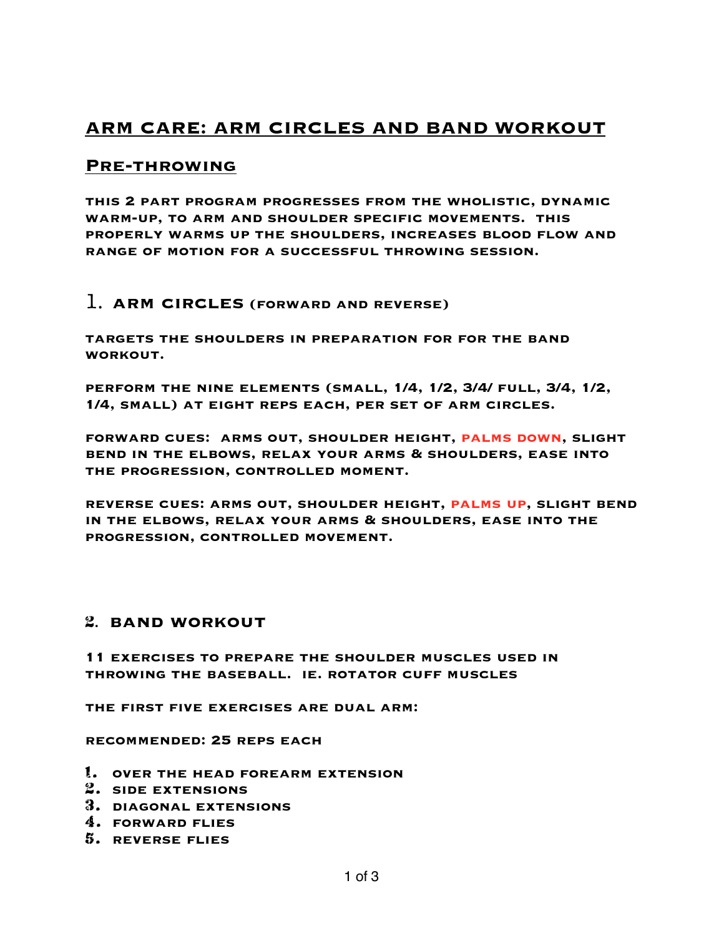# **ARM CARE: ARM CIRCLES AND BAND WORKOUT**

## **Pre-throwing**

**this 2 part program progresses from the wholistic, dynamic warm-up, to arm and shoulder specific movements. this properly warms up the shoulders, increases blood flow and range of motion for a successful throwing session.** 

### 1. **arm circles (forward and reverse)**

**targets the shoulders in preparation for for the band workout.** 

**perform the nine elements (small, 1/4, 1/2, 3/4/ full, 3/4, 1/2, 1/4, small) at eight reps each, per set of arm circles.** 

**forward cues: arms out, shoulder height, palms down, slight bend in the elbows, relax your arms & shoulders, ease into the progression, controlled moment.** 

**reverse cues: arms out, shoulder height, palms up, slight bend in the elbows, relax your arms & shoulders, ease into the progression, controlled movement.** 

### 2. **band workout**

**11 exercises to prepare the shoulder muscles used in throwing the baseball. ie. rotator cuff muscles** 

**the first five exercises are dual arm:** 

**recommended: 25 reps each** 

- 1. **over the head forearm extension**
- 2. **side extensions**
- 3. **diagonal extensions**
- 4. **forward flies**
- 5. **reverse flies**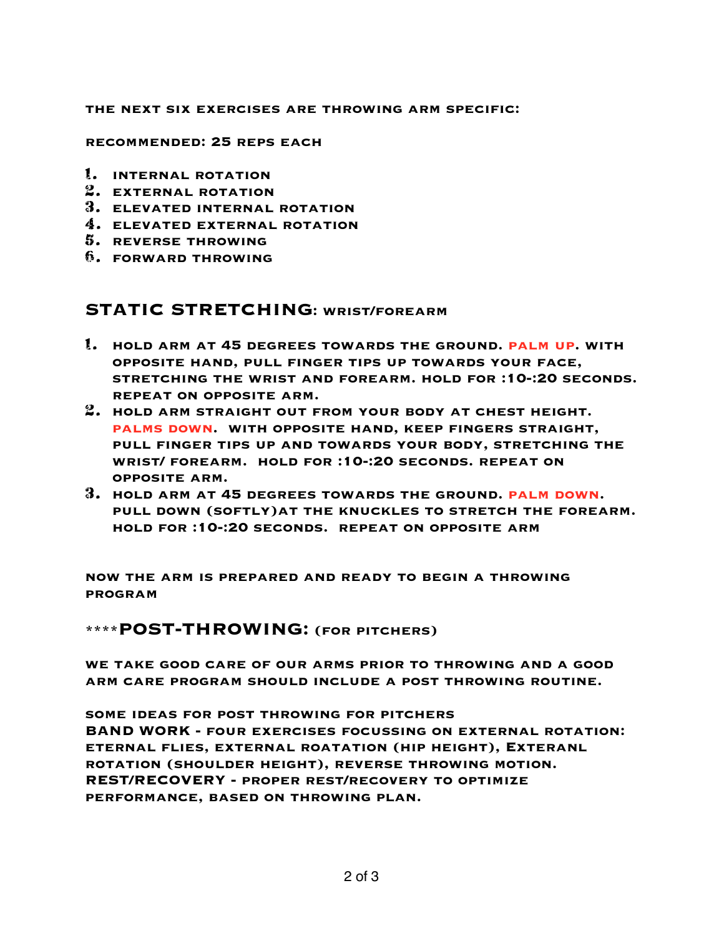#### **the next six exercises are throwing arm specific:**

#### **recommended: 25 reps each**

- 1. **internal rotation**
- 2. **external rotation**
- 3. **elevated internal rotation**
- 4. **elevated external rotation**
- 5. **reverse throwing**
- 6. **forward throwing**

### **STATIC STRETCHING: wrist/forearm**

- 1. **hold arm at 45 degrees towards the ground. palm up. with opposite hand, pull finger tips up towards your face, stretching the wrist and forearm. hold for :10-:20 seconds. repeat on opposite arm.**
- 2. **hold arm straight out from your body at chest height. palms down. with opposite hand, keep fingers straight, pull finger tips up and towards your body, stretching the wrist/ forearm. hold for :10-:20 seconds. repeat on opposite arm.**
- 3. **hold arm at 45 degrees towards the ground. palm down. pull down (softly)at the knuckles to stretch the forearm. hold for :10-:20 seconds. repeat on opposite arm**

**now the arm is prepared and ready to begin a throwing program** 

**\*\*\*\*POST-THROWING: (for pitchers)** 

**we take good care of our arms prior to throwing and a good arm care program should include a post throwing routine.** 

**some ideas for post throwing for pitchers BAND WORK - four exercises focussing on external rotation: eternal flies, external roatation (hip height), Exteranl rotation (shoulder height), reverse throwing motion. REST/RECOVERY - proper rest/recovery to optimize performance, based on throwing plan.**